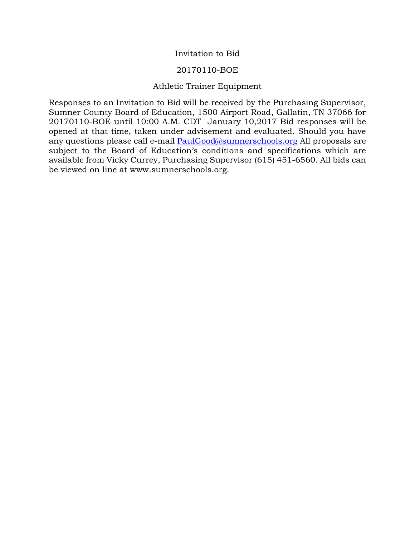## Invitation to Bid

### 20170110-BOE

# Athletic Trainer Equipment

Responses to an Invitation to Bid will be received by the Purchasing Supervisor, Sumner County Board of Education, 1500 Airport Road, Gallatin, TN 37066 for 20170110-BOE until 10:00 A.M. CDT January 10,2017 Bid responses will be opened at that time, taken under advisement and evaluated. Should you have any questions please call e-mail **PaulGood@sumnerschools.org** All proposals are subject to the Board of Education's conditions and specifications which are available from Vicky Currey, Purchasing Supervisor (615) 451-6560. All bids can be viewed on line at www.sumnerschools.org.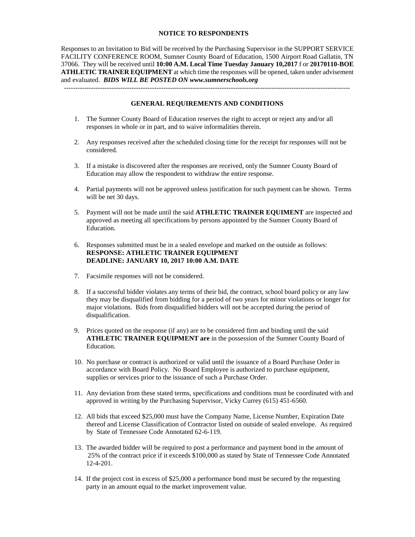### **NOTICE TO RESPONDENTS**

Responses to an Invitation to Bid will be received by the Purchasing Supervisor in the SUPPORT SERVICE FACILITY CONFERENCE ROOM, Sumner County Board of Education, 1500 Airport Road Gallatin, TN 37066. They will be received until **10:00 A.M. Local Time Tuesday January 10,2017** f or **20170110-BOE ATHLETIC TRAINER EQUIPMENT** at which time the responses will be opened, taken under advisement and evaluated. *BIDS WILL BE POSTED ON www.sumnerschools.org* -------------------------------------------------------------------------------------------------------------------------------

#### **GENERAL REQUIREMENTS AND CONDITIONS**

- 1. The Sumner County Board of Education reserves the right to accept or reject any and/or all responses in whole or in part, and to waive informalities therein.
- 2. Any responses received after the scheduled closing time for the receipt for responses will not be considered.
- 3. If a mistake is discovered after the responses are received, only the Sumner County Board of Education may allow the respondent to withdraw the entire response.
- 4. Partial payments will not be approved unless justification for such payment can be shown. Terms will be net 30 days.
- 5. Payment will not be made until the said **ATHLETIC TRAINER EQUIMENT** are inspected and approved as meeting all specifications by persons appointed by the Sumner County Board of Education.
- 6. Responses submitted must be in a sealed envelope and marked on the outside as follows: **RESPONSE: ATHLETIC TRAINER EQUIPMENT DEADLINE: JANUARY 10, 2017 10:00 A.M. DATE**
- 7. Facsimile responses will not be considered.
- 8. If a successful bidder violates any terms of their bid, the contract, school board policy or any law they may be disqualified from bidding for a period of two years for minor violations or longer for major violations. Bids from disqualified bidders will not be accepted during the period of disqualification.
- 9. Prices quoted on the response (if any) are to be considered firm and binding until the said **ATHLETIC TRAINER EQUIPMENT are** in the possession of the Sumner County Board of Education.
- 10. No purchase or contract is authorized or valid until the issuance of a Board Purchase Order in accordance with Board Policy. No Board Employee is authorized to purchase equipment, supplies or services prior to the issuance of such a Purchase Order.
- 11. Any deviation from these stated terms, specifications and conditions must be coordinated with and approved in writing by the Purchasing Supervisor, Vicky Currey (615) 451-6560.
- 12. All bids that exceed \$25,000 must have the Company Name, License Number, Expiration Date thereof and License Classification of Contractor listed on outside of sealed envelope. As required by State of Tennessee Code Annotated 62-6-119.
- 13. The awarded bidder will be required to post a performance and payment bond in the amount of 25% of the contract price if it exceeds \$100,000 as stated by State of Tennessee Code Annotated 12-4-201.
- 14. If the project cost in excess of \$25,000 a performance bond must be secured by the requesting party in an amount equal to the market improvement value.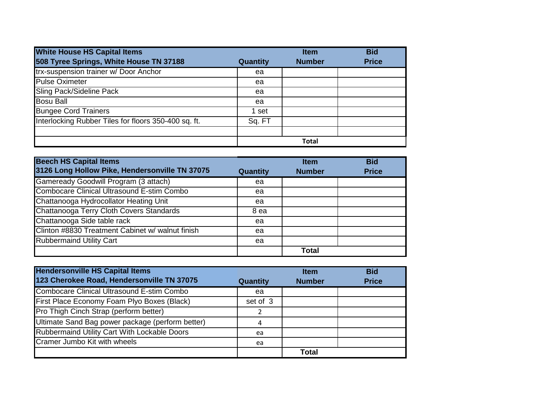| <b>White House HS Capital Items</b>                  |          | <b>Item</b>   | <b>Bid</b>   |
|------------------------------------------------------|----------|---------------|--------------|
| 508 Tyree Springs, White House TN 37188              | Quantity | <b>Number</b> | <b>Price</b> |
| trx-suspension trainer w/ Door Anchor                | ea       |               |              |
| <b>Pulse Oximeter</b>                                | ea       |               |              |
| Sling Pack/Sideline Pack                             | ea       |               |              |
| <b>Bosu Ball</b>                                     | ea       |               |              |
| <b>Bungee Cord Trainers</b>                          | 1 set    |               |              |
| Interlocking Rubber Tiles for floors 350-400 sq. ft. | Sq. FT   |               |              |
|                                                      |          |               |              |
|                                                      |          | <b>Total</b>  |              |

| <b>Beech HS Capital Items</b>                     |                 | <b>Item</b>   | <b>Bid</b>   |
|---------------------------------------------------|-----------------|---------------|--------------|
| 3126 Long Hollow Pike, Hendersonville TN 37075    | <b>Quantity</b> | <b>Number</b> | <b>Price</b> |
| Gameready Goodwill Program (3 attach)             | ea              |               |              |
| <b>Combocare Clinical Ultrasound E-stim Combo</b> | ea              |               |              |
| Chattanooga Hydrocollator Heating Unit            | ea              |               |              |
| Chattanooga Terry Cloth Covers Standards          | 8 ea            |               |              |
| Chattanooga Side table rack                       | ea              |               |              |
| Clinton #8830 Treatment Cabinet w/ walnut finish  | ea              |               |              |
| <b>Rubbermaind Utility Cart</b>                   | ea              |               |              |
|                                                   |                 | <b>Total</b>  |              |

| <b>Hendersonville HS Capital Items</b>            |                 | <b>Item</b>   | <b>Bid</b>   |
|---------------------------------------------------|-----------------|---------------|--------------|
| 123 Cherokee Road, Hendersonville TN 37075        | <b>Quantity</b> | <b>Number</b> | <b>Price</b> |
| <b>Combocare Clinical Ultrasound E-stim Combo</b> | ea              |               |              |
| First Place Economy Foam Plyo Boxes (Black)       | set of 3        |               |              |
| Pro Thigh Cinch Strap (perform better)            |                 |               |              |
| Ultimate Sand Bag power package (perform better)  |                 |               |              |
| Rubbermaind Utility Cart With Lockable Doors      | ea              |               |              |
| <b>Cramer Jumbo Kit with wheels</b>               | ea              |               |              |
|                                                   |                 | Total         |              |